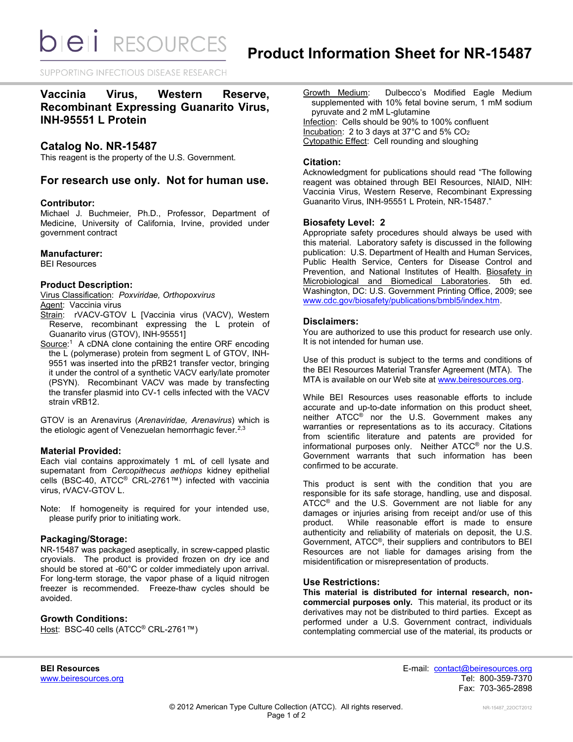**bieli** RESOURCES

SUPPORTING INFECTIOUS DISEASE RESEARCH

# **Vaccinia Virus, Western Reserve, Recombinant Expressing Guanarito Virus, INH-95551 L Protein**

## **Catalog No. NR-15487**

This reagent is the property of the U.S. Government.

## **For research use only. Not for human use.**

## **Contributor:**

Michael J. Buchmeier, Ph.D., Professor, Department of Medicine, University of California, Irvine, provided under government contract

#### **Manufacturer:**

BEI Resources

## **Product Description:**

Virus Classification: *Poxviridae, Orthopoxvirus* Agent: Vaccinia virus

- Strain: rVACV-GTOV L [Vaccinia virus (VACV), Western Reserve, recombinant expressing the L protein of Guanarito virus (GTOV), INH-95551]
- Source:<sup>1</sup> A cDNA clone containing the entire ORF encoding the L (polymerase) protein from segment L of GTOV, INH-9551 was inserted into the pRB21 transfer vector, bringing it under the control of a synthetic VACV early/late promoter (PSYN). Recombinant VACV was made by transfecting the transfer plasmid into CV-1 cells infected with the VACV strain vRB12.

GTOV is an Arenavirus (*Arenaviridae, Arenavirus*) which is the etiologic agent of Venezuelan hemorrhagic fever. $2,3$ 

## **Material Provided:**

Each vial contains approximately 1 mL of cell lysate and supernatant from *Cercopithecus aethiops* kidney epithelial cells (BSC-40, ATCC® CRL-2761™) infected with vaccinia virus, rVACV-GTOV L.

Note: If homogeneity is required for your intended use, please purify prior to initiating work.

## **Packaging/Storage:**

NR-15487 was packaged aseptically, in screw-capped plastic cryovials. The product is provided frozen on dry ice and should be stored at -60°C or colder immediately upon arrival. For long-term storage, the vapor phase of a liquid nitrogen freezer is recommended. Freeze-thaw cycles should be avoided.

## **Growth Conditions:**

Host: BSC-40 cells (ATCC<sup>®</sup> CRL-2761™)

Growth Medium: Dulbecco's Modified Eagle Medium supplemented with 10% fetal bovine serum, 1 mM sodium pyruvate and 2 mM L-glutamine Infection: Cells should be 90% to 100% confluent Incubation: 2 to 3 days at 37°C and 5% CO<sup>2</sup> Cytopathic Effect: Cell rounding and sloughing

## **Citation:**

Acknowledgment for publications should read "The following reagent was obtained through BEI Resources, NIAID, NIH: Vaccinia Virus, Western Reserve, Recombinant Expressing Guanarito Virus, INH-95551 L Protein, NR-15487."

## **Biosafety Level: 2**

Appropriate safety procedures should always be used with this material. Laboratory safety is discussed in the following publication: U.S. Department of Health and Human Services, Public Health Service, Centers for Disease Control and Prevention, and National Institutes of Health. Biosafety in Microbiological and Biomedical Laboratories. 5th ed. Washington, DC: U.S. Government Printing Office, 2009; see [www.cdc.gov/biosafety/publications/bmbl5/index.htm.](http://www.cdc.gov/biosafety/publications/bmbl5/index.htm)

## **Disclaimers:**

You are authorized to use this product for research use only. It is not intended for human use.

Use of this product is subject to the terms and conditions of the BEI Resources Material Transfer Agreement (MTA). The MTA is available on our Web site at [www.beiresources.org.](http://www.beiresources.org/)

While BEI Resources uses reasonable efforts to include accurate and up-to-date information on this product sheet, neither ATCC® nor the U.S. Government makes any warranties or representations as to its accuracy. Citations from scientific literature and patents are provided for informational purposes only. Neither ATCC® nor the U.S. Government warrants that such information has been confirmed to be accurate.

This product is sent with the condition that you are responsible for its safe storage, handling, use and disposal. ATCC<sup>®</sup> and the U.S. Government are not liable for any damages or injuries arising from receipt and/or use of this product. While reasonable effort is made to ensure While reasonable effort is made to ensure authenticity and reliability of materials on deposit, the U.S. Government, ATCC®, their suppliers and contributors to BEI Resources are not liable for damages arising from the misidentification or misrepresentation of products.

#### **Use Restrictions:**

**This material is distributed for internal research, noncommercial purposes only.** This material, its product or its derivatives may not be distributed to third parties. Except as performed under a U.S. Government contract, individuals contemplating commercial use of the material, its products or

**BEI Resources** E-mail: [contact@beiresources.org](mailto:contact@beiresources.org) [www.beiresources.org](http://www.beiresources.org/) **Tel: 800-359-7370** Fax: 703-365-2898